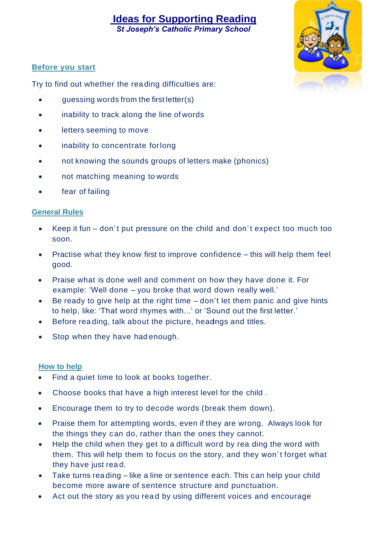# **Ideas for Supporting Reading**

*St Joseph's Catholic Primary School*



### **Before you start**

Try to find out whether the rea ding difficulties are:

- guessing words from the first letter(s)
- inability to track along the line of words
- letters seeming to move
- inability to concentrate forlong
- not knowing the sounds groups of letters make (phonics)
- not matching meaning to words
- fear of failing

#### **General Rules**

- Keep it fun don' t put pressure on the child and don' t expect too much too soon.
- Practise what they know first to improve confidence this will help them feel good.
- Praise what is done well and comment on how they have done it. For example: 'Well done – you broke that word down really well.'
- Be ready to give help at the right time  $-$  don't let them panic and give hints to help, like: 'That word rhymes with...' or 'Sound out the first letter.'
- Before reading, talk about the picture, headngs and titles.
- Stop when they have had enough.

#### **How to help**

- Find a quiet time to look at books together.
- Choose books that have a high interest level for the child .
- Encourage them to try to decode words (break them down).
- Praise them for attempting words, even if they are wrong. Always look for the things they can do, rather than the ones they cannot.
- Help the child when they get to a difficult word by rea ding the word with them. This will help them to focus on the story, and they won't forget what they have just rea d.
- Take turns reading like a line or sentence each. This can help your child become more aware of sentence structure and punctuation.
- Act out the story as you rea d by using different voices and encourage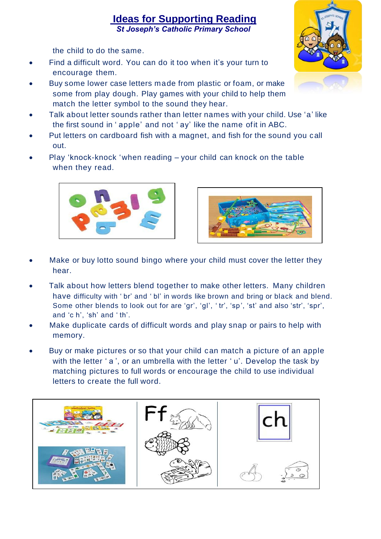## **Ideas for Supporting Reading**  *St Joseph's Catholic Primary School*

the child to do the same.

- Find a difficult word. You can do it too when it's your turn to encourage them.
- Buy some lower case letters made from plastic or foam, or make some from play dough. Play games with your child to help them match the letter symbol to the sound they hear.
- Talk about letter sounds rather than letter names with your child. Use 'a' like the first sound in ' apple' and not ' ay' like the name ofit in ABC.
- Put letters on cardboard fish with a magnet, and fish for the sound you call out.
- Play 'knock-knock 'when reading your child can knock on the table when they read.





- Make or buy lotto sound bingo where your child must cover the letter they hear.
- Talk about how letters blend together to make other letters. Many children have difficulty with 'br' and 'bl' in words like brown and bring or black and blend. Some other blends to look out for are 'gr', 'gl', ' tr', 'sp', 'st' and also 'str', 'spr', and 'c h', 'sh' and ' th'.
- Make duplicate cards of difficult words and play snap or pairs to help with memory.
- Buy or make pictures or so that your child can match a picture of an apple with the letter 'a', or an umbrella with the letter 'u'. Develop the task by matching pictures to full words or encourage the child to use individual letters to create the full word.